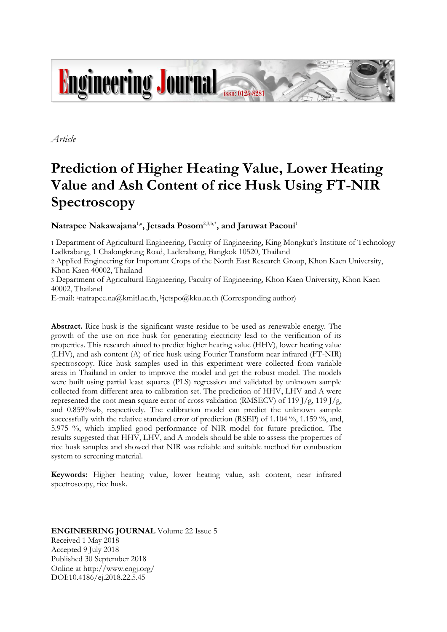

*Article*

# **Prediction of Higher Heating Value, Lower Heating Value and Ash Content of rice Husk Using FT-NIR Spectroscopy**

 $\mathbf{N}$ atrapee  $\mathbf{N}$ akawajana $^{1, \mathsf{a}}$ , Jetsada  $\mathbf{Posom}^{2,3,\mathsf{b},\mathsf{*}},$  and Jaruwat  $\mathbf{Paecou}^\mathsf{1}$ 

1 Department of Agricultural Engineering, Faculty of Engineering, King Mongkut's Institute of Technology Ladkrabang, 1 Chalongkrung Road, Ladkrabang, Bangkok 10520, Thailand

2 Applied Engineering for Important Crops of the North East Research Group, Khon Kaen University, Khon Kaen 40002, Thailand

3 Department of Agricultural Engineering, Faculty of Engineering, Khon Kaen University, Khon Kaen 40002, Thailand

E-mail: <sup>a</sup>natrapee.na@kmitl.ac.th, <sup>b</sup>jetspo@kku.ac.th (Corresponding author)

**Abstract.** Rice husk is the significant waste residue to be used as renewable energy. The growth of the use on rice husk for generating electricity lead to the verification of its properties. This research aimed to predict higher heating value (HHV), lower heating value (LHV), and ash content (A) of rice husk using Fourier Transform near infrared (FT-NIR) spectroscopy. Rice husk samples used in this experiment were collected from variable areas in Thailand in order to improve the model and get the robust model. The models were built using partial least squares (PLS) regression and validated by unknown sample collected from different area to calibration set. The prediction of HHV, LHV and A were represented the root mean square error of cross validation (RMSECV) of 119 J/g, 119 J/g, and 0.859%wb, respectively. The calibration model can predict the unknown sample successfully with the relative standard error of prediction (RSEP) of 1.104 %, 1.159 %, and, 5.975 %, which implied good performance of NIR model for future prediction. The results suggested that HHV, LHV, and A models should be able to assess the properties of rice husk samples and showed that NIR was reliable and suitable method for combustion system to screening material.

**Keywords:** Higher heating value, lower heating value, ash content, near infrared spectroscopy, rice husk.

**ENGINEERING JOURNAL** Volume 22 Issue 5 Received 1 May 2018 Accepted 9 July 2018 Published 30 September 2018 Online at http://www.engj.org/ DOI:10.4186/ej.2018.22.5.45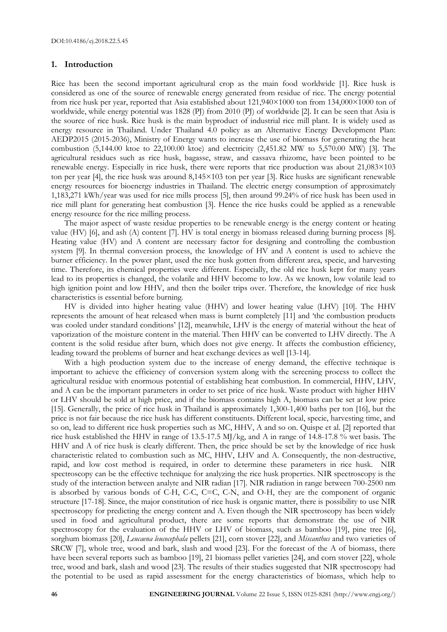#### **1. Introduction**

Rice has been the second important agricultural crop as the main food worldwide [1]. Rice husk is considered as one of the source of renewable energy generated from residue of rice. The energy potential from rice husk per year, reported that Asia established about 121,940×1000 ton from 134,000×1000 ton of worldwide, while energy potential was 1828 (PJ) from 2010 (PJ) of worldwide [2]. It can be seen that Asia is the source of rice husk. Rice husk is the main byproduct of industrial rice mill plant. It is widely used as energy resource in Thailand. Under Thailand 4.0 policy as an Alternative Energy Development Plan: AEDP2015 (2015-2036), Ministry of Energy wants to increase the use of biomass for generating the heat combustion (5,144.00 ktoe to 22,100.00 ktoe) and electricity (2,451.82 MW to 5,570.00 MW) [3]. The agricultural residues such as rice husk, bagasse, straw, and cassava rhizome, have been pointed to be renewable energy. Especially in rice husk, there were reports that rice production was about 21,083×103 ton per year [4], the rice husk was around 8,145×103 ton per year [3]. Rice husks are significant renewable energy resources for bioenergy industries in Thailand. The electric energy consumption of approximately 1,183,271 kWh/year was used for rice mills process [5], then around 99.24% of rice husk has been used in rice mill plant for generating heat combustion [3]. Hence the rice husks could be applied as a renewable energy resource for the rice milling process.

The major aspect of waste residue properties to be renewable energy is the energy content or heating value (HV) [6], and ash (A) content [7]. HV is total energy in biomass released during burning process [8]. Heating value (HV) and A content are necessary factor for designing and controlling the combustion system [9]. In thermal conversion process, the knowledge of HV and A content is used to achieve the burner efficiency. In the power plant, used the rice husk gotten from different area, specie, and harvesting time. Therefore, its chemical properties were different. Especially, the old rice husk kept for many years lead to its properties is changed, the volatile and HHV become to low. As we known, low volatile lead to high ignition point and low HHV, and then the boiler trips over. Therefore, the knowledge of rice husk characteristics is essential before burning.

HV is divided into higher heating value (HHV) and lower heating value (LHV) [10]. The HHV represents the amount of heat released when mass is burnt completely [11] and 'the combustion products was cooled under standard conditions' [12], meanwhile, LHV is the energy of material without the heat of vaporization of the moisture content in the material. Then HHV can be converted to LHV directly. The A content is the solid residue after burn, which does not give energy. It affects the combustion efficiency, leading toward the problems of burner and heat exchange devices as well [13-14].

With a high production system due to the increase of energy demand, the effective technique is important to achieve the efficiency of conversion system along with the screening process to collect the agricultural residue with enormous potential of establishing heat combustion. In commercial, HHV, LHV, and A can be the important parameters in order to set price of rice husk. Waste product with higher HHV or LHV should be sold at high price, and if the biomass contains high A, biomass can be set at low price [15]. Generally, the price of rice husk in Thailand is approximately 1,300-1,400 baths per ton [16], but the price is not fair because the rice husk has different constituents. Different local, specie, harvesting time, and so on, lead to different rice husk properties such as MC, HHV, A and so on. Quispe et al. [2] reported that rice husk established the HHV in range of 13.5-17.5 MJ/kg, and A in range of 14.8-17.8 % wet basis. The HHV and A of rice husk is clearly different. Then, the price should be set by the knowledge of rice husk characteristic related to combustion such as MC, HHV, LHV and A. Consequently, the non-destructive, rapid, and low cost method is required, in order to determine these parameters in rice husk. NIR spectroscopy can be the effective technique for analyzing the rice husk properties. NIR spectroscopy is the study of the interaction between analyte and NIR radian [17]. NIR radiation in range between 700-2500 nm is absorbed by various bonds of C-H, C-C, C=C, C-N, and O-H, they are the component of organic structure [17-18]. Since, the major constitution of rice husk is organic matter, there is possibility to use NIR spectroscopy for predicting the energy content and A. Even though the NIR spectroscopy has been widely used in food and agricultural product, there are some reports that demonstrate the use of NIR spectroscopy for the evaluation of the HHV or LHV of biomass, such as bamboo [19], pine tree [6], sorghum biomass [20], *Leucaena leucocephala* pellets [21], corn stover [22], and *Miscanthus* and two varieties of SRCW [7], whole tree, wood and bark, slash and wood [23]. For the forecast of the A of biomass, there have been several reports such as bamboo [19], 21 biomass pellet varieties [24], and corn stover [22], whole tree, wood and bark, slash and wood [23]. The results of their studies suggested that NIR spectroscopy had the potential to be used as rapid assessment for the energy characteristics of biomass, which help to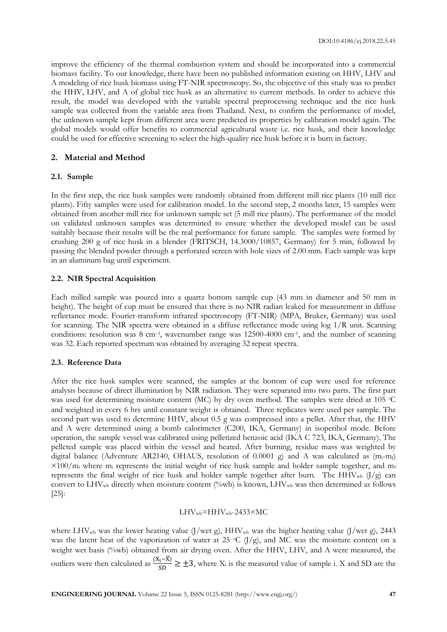improve the efficiency of the thermal combustion system and should be incorporated into a commercial biomass facility. To our knowledge, there have been no published information existing on HHV, LHV and A modeling of rice husk biomass using FT-NIR spectroscopy. So, the objective of this study was to predict the HHV, LHV, and A of global rice husk as an alternative to current methods. In order to achieve this result, the model was developed with the variable spectral preprocessing technique and the rice husk sample was collected from the variable area from Thailand. Next, to confirm the performance of model, the unknown sample kept from different area were predicted its properties by calibration model again. The global models would offer benefits to commercial agricultural waste i.e. rice husk, and their knowledge could be used for effective screening to select the high-quality rice husk before it is burn in factory.

#### **2. Material and Method**

#### **2.1. Sample**

In the first step, the rice husk samples were randomly obtained from different mill rice plants (10 mill rice plants). Fifty samples were used for calibration model. In the second step, 2 months later, 15 samples were obtained from another mill rice for unknown sample set (5 mill rice plants). The performance of the model on validated unknown samples was determined to ensure whether the developed model can be used suitably because their results will be the real performance for future sample. The samples were formed by crushing 200 g of rice husk in a blender (FRITSCH, 14.3000/10857, Germany) for 5 min, followed by passing the blended powder through a perforated screen with hole sizes of 2.00 mm. Each sample was kept in an aluminum bag until experiment.

## **2.2. NIR Spectral Acquisition**

Each milled sample was poured into a quartz bottom sample cup (43 mm in diameter and 50 mm in height). The height of cup must be ensured that there is no NIR radian leaked for measurement in diffuse reflectance mode. Fourier-transform infrared spectroscopy (FT-NIR) (MPA, Bruker, Germany) was used for scanning. The NIR spectra were obtained in a diffuse reflectance mode using log 1/R unit. Scanning conditions: resolution was 8 cm<sup>-1</sup>, wavenumber range was 12500-4000 cm<sup>-1</sup>, and the number of scanning was 32. Each reported spectrum was obtained by averaging 32 repeat spectra.

#### **2.3. Reference Data**

After the rice husk samples were scanned, the samples at the bottom of cup were used for reference analysis because of direct illumination by NIR radiation. They were separated into two parts. The first part was used for determining moisture content (MC) by dry oven method. The samples were dried at  $105^{\circ}$ C and weighted in every 6 hrs until constant weight is obtained. Three replicates were used per sample. The second part was used to determine HHV, about 0.5 g was compressed into a pellet. After that, the HHV and A were determined using a bomb calorimeter (C200, IKA, Germany) in isoperibol mode. Before operation, the sample vessel was calibrated using pelletized benzoic acid (IKA C 723, IKA, Germany). The pelleted sample was placed within the vessel and heated. After burning, residue mass was weighted by digital balance (Adventure AR2140, OHAUS, resolution of 0.0001 g) and A was calculated as  $(m_i-m_f)$  $\times$ 100/m<sub>i</sub> where m<sub>i</sub> represents the initial weight of rice husk sample and holder sample together, and m<sub>f</sub> represents the final weight of rice husk and holder sample together after burn. The HHV<sub>wb</sub>  $(J/g)$  can convert to  $LHV_{wb}$  directly when moisture content (%wb) is known,  $LHV_{wb}$  was then determined as follows [25]:

## $LHV_{wb}$ =HHV<sub>wb</sub>-2433×MC

where LHV<sub>wb</sub> was the lower heating value (J/wet g), HHV<sub>wb</sub> was the higher heating value (J/wet g), 2443 was the latent heat of the vaporization of water at 25 °C (J/g), and MC was the moisture content on a weight wet basis (%wb) obtained from air drying oven. After the HHV, LHV, and A were measured, the outliers were then calculated as  $\frac{(X_i-\overline{X})}{SD} \ge \pm 3$ , where  $X_i$  is the measured value of sample i. X and SD are the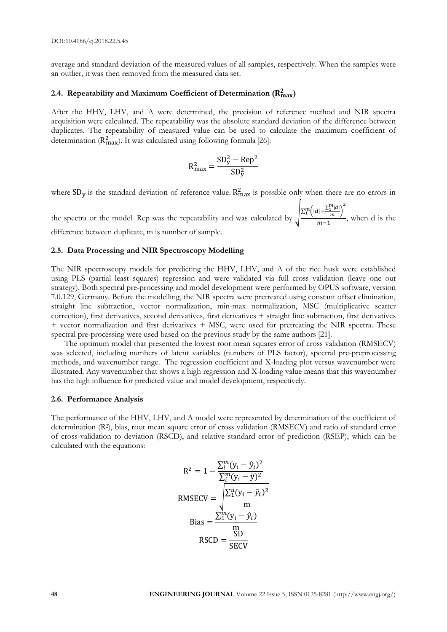average and standard deviation of the measured values of all samples, respectively. When the samples were an outlier, it was then removed from the measured data set.

## 2.4. Repeatability and Maximum Coefficient of Determination  $(\mathbf{R}_{\max}^2)$

After the HHV, LHV, and A were determined, the precision of reference method and NIR spectra acquisition were calculated. The repeatability was the absolute standard deviation of the difference between duplicates. The repeatability of measured value can be used to calculate the maximum coefficient of determination ( $R_{\text{max}}^2$ ). It was calculated using following formula [26]:

$$
R_{\text{max}}^2 = \frac{SD_y^2 - Rep^2}{SD_y^2}
$$

where  $SD_y$  is the standard deviation of reference value.  $R_{max}^2$  is possible only when there are no errors in

the spectra or the model. Rep was the repeatability and was calculated by  $\frac{\sum_{i=1}^{m} (|d| - \sum_{i=1}^{m} |d|)}{m}$  $\binom{m}{1} |d| - \frac{\sum_{1}^{m} |d|}{m}$  $\frac{m}{m-1}$ , when d is the difference between duplicate, m is number of sample.

#### **2.5. Data Processing and NIR Spectroscopy Modelling**

The NIR spectroscopy models for predicting the HHV, LHV, and A of the rice husk were established using PLS (partial least squares) regression and were validated via full cross validation (leave one out strategy). Both spectral pre-processing and model development were performed by OPUS software, version 7.0.129, Germany. Before the modelling, the NIR spectra were pretreated using constant offset elimination, straight line subtraction, vector normalization, min-max normalization, MSC (multiplicative scatter correction), first derivatives, second derivatives, first derivatives + straight line subtraction, first derivatives + vector normalization and first derivatives + MSC, were used for pretreating the NIR spectra. These spectral pre-processing were used based on the previous study by the same authors [21].

The optimum model that presented the lowest root mean squares error of cross validation (RMSECV) was selected, including numbers of latent variables (numbers of PLS factor), spectral pre-preprocessing methods, and wavenumber range. The regression coefficient and X-loading plot versus wavenumber were illustrated. Any wavenumber that shows a high regression and X-loading value means that this wavenumber has the high influence for predicted value and model development, respectively.

#### **2.6. Performance Analysis**

The performance of the HHV, LHV, and A model were represented by determination of the coefficient of determination (R<sup>2</sup> ), bias, root mean square error of cross validation (RMSECV) and ratio of standard error of cross-validation to deviation (RSCD), and relative standard error of prediction (RSEP), which can be calculated with the equations:

$$
R^{2} = 1 - \frac{\sum_{i}^{m} (y_{i} - \hat{y}_{i})^{2}}{\sum_{i}^{m} (y_{i} - \bar{y})^{2}}
$$
  
RMSECV = 
$$
\sqrt{\frac{\sum_{i}^{n} (y_{i} - \hat{y}_{i})^{2}}{m}}
$$
  
Bias = 
$$
\frac{\sum_{i}^{m} (y_{i} - \hat{y}_{i})}{\sum_{i}^{m}}
$$
  
RSCD = 
$$
\frac{\text{SD}}{\text{SECV}}
$$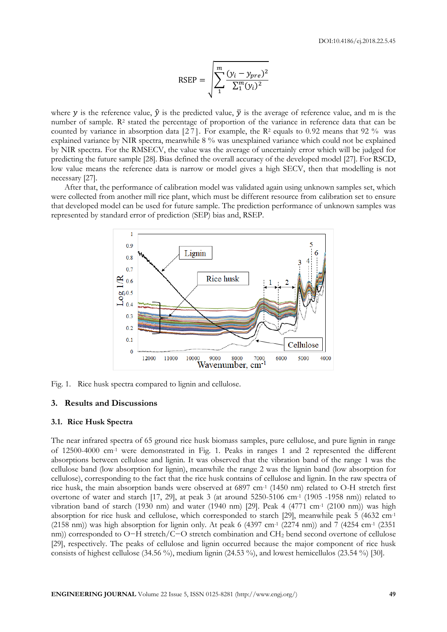$$
RSEP = \sqrt{\sum_{1}^{m} \frac{(y_i - y_{pre})^2}{\sum_{1}^{m} (y_i)^2}}
$$

where y is the reference value,  $\hat{y}$  is the predicted value,  $\bar{y}$  is the average of reference value, and m is the number of sample. R<sup>2</sup> stated the percentage of proportion of the variance in reference data that can be counted by variance in absorption data  $[27]$ . For example, the R<sup>2</sup> equals to 0.92 means that 92 % was explained variance by NIR spectra, meanwhile 8 % was unexplained variance which could not be explained by NIR spectra. For the RMSECV, the value was the average of uncertainly error which will be judged for predicting the future sample [28]. Bias defined the overall accuracy of the developed model [27]. For RSCD, low value means the reference data is narrow or model gives a high SECV, then that modelling is not necessary [27].

After that, the performance of calibration model was validated again using unknown samples set, which were collected from another mill rice plant, which must be different resource from calibration set to ensure that developed model can be used for future sample. The prediction performance of unknown samples was represented by standard error of prediction (SEP) bias and, RSEP.



Fig. 1. Rice husk spectra compared to lignin and cellulose.

## **3. Results and Discussions**

## **3.1. Rice Husk Spectra**

The near infrared spectra of 65 ground rice husk biomass samples, pure cellulose, and pure lignin in range of 12500-4000 cm-1 were demonstrated in Fig. 1. Peaks in ranges 1 and 2 represented the different absorptions between cellulose and lignin. It was observed that the vibration band of the range 1 was the cellulose band (low absorption for lignin), meanwhile the range 2 was the lignin band (low absorption for cellulose), corresponding to the fact that the rice husk contains of cellulose and lignin. In the raw spectra of rice husk, the main absorption bands were observed at 6897 cm<sup>-1</sup> (1450 nm) related to O-H stretch first overtone of water and starch [17, 29], at peak 3 (at around 5250-5106 cm-1 (1905 -1958 nm)) related to vibration band of starch (1930 nm) and water (1940 nm) [29]. Peak 4 (4771 cm-1 (2100 nm)) was high absorption for rice husk and cellulose, which corresponded to starch [29], meanwhile peak 5 (4632 cm-1  $(2158 \text{ nm})$ ) was high absorption for lignin only. At peak 6 (4397 cm<sup>-1</sup> (2274 nm)) and 7 (4254 cm<sup>-1</sup> (2351 nm)) corresponded to O−H stretch/C−O stretch combination and CH<sup>2</sup> bend second overtone of cellulose [29], respectively. The peaks of cellulose and lignin occurred because the major component of rice husk consists of highest cellulose (34.56 %), medium lignin (24.53 %), and lowest hemicellulos (23.54 %) [30].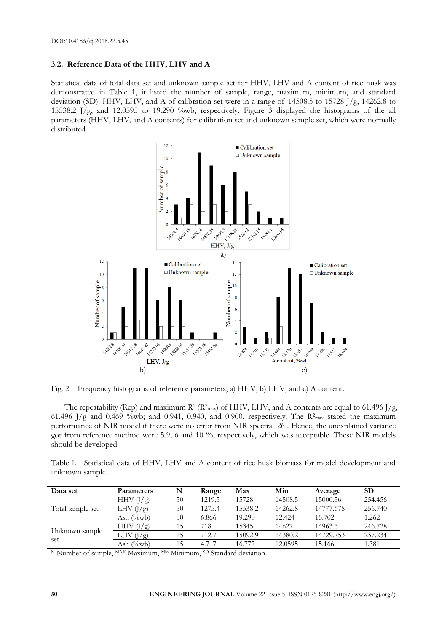## **3.2. Reference Data of the HHV, LHV and A**

Statistical data of total data set and unknown sample set for HHV, LHV and A content of rice husk was demonstrated in Table 1, it listed the number of sample, range, maximum, minimum, and standard deviation (SD). HHV, LHV, and A of calibration set were in a range of 14508.5 to 15728 J/g, 14262.8 to 15538.2 J/g, and 12.0595 to 19.290 %wb, respectively. Figure 3 displayed the histograms of the all parameters (HHV, LHV, and A contents) for calibration set and unknown sample set, which were normally distributed.



Fig. 2. Frequency histograms of reference parameters, a) HHV, b) LHV, and c) A content.

The repeatability (Rep) and maximum  $R^2$  ( $R^2$ <sub>max</sub>) of HHV, LHV, and A contents are equal to 61.496 J/g, 61.496 J/g and 0.469 %wb; and 0.941, 0.940, and 0.900, respectively. The  $R^2$ <sub>max</sub> stated the maximum performance of NIR model if there were no error from NIR spectra [26]. Hence, the unexplained variance got from reference method were 5.9, 6 and 10 %, respectively, which was acceptable. These NIR models should be developed.

Table 1. Statistical data of HHV, LHV and A content of rice husk biomass for model development and unknown sample.

| Data set              | Parameters                 | N  | Range  | Max     | Min     | Average   | <b>SD</b> |
|-----------------------|----------------------------|----|--------|---------|---------|-----------|-----------|
|                       | HHV $(J/g)$                | 50 | 1219.5 | 15728   | 14508.5 | 15000.56  | 254.456   |
| Total sample set      | LHV $(1/g)$                | 50 | 1275.4 | 15538.2 | 14262.8 | 14777.678 | 256.740   |
|                       | Ash (%wb)                  | 50 | 6.866  | 19.290  | 12.424  | 15.702    | 1.262     |
|                       | HHV (<br>$(\frac{\pi}{8})$ | 15 | 718    | 15345   | 14627   | 14963.6   | 246.728   |
| Unknown sample<br>set | LHV $(J/g)$                | 15 | 712.7  | 15092.9 | 14380.2 | 14729.753 | 237.234   |
|                       | Ash (%wb)                  | 15 | 4.717  | 16.777  | 12.0595 | 15.166    | 1.381     |

<sup>N</sup> Number of sample, <sup>MAX</sup> Maximum, <sup>Min</sup> Minimum, <sup>SD</sup> Standard deviation.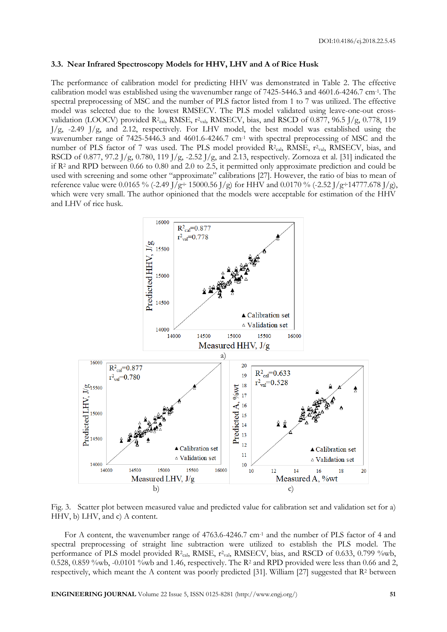#### **3.3. Near Infrared Spectroscopy Models for HHV, LHV and A of Rice Husk**

The performance of calibration model for predicting HHV was demonstrated in Table 2. The effective calibration model was established using the wavenumber range of 7425-5446.3 and 4601.6-4246.7 cm<sup>-1</sup>. The spectral preprocessing of MSC and the number of PLS factor listed from 1 to 7 was utilized. The effective model was selected due to the lowest RMSECV. The PLS model validated using leave-one-out crossvalidation (LOOCV) provided R<sup>2</sup><sub>cal</sub>, RMSE, r<sup>2</sup><sub>val</sub>, RMSECV, bias, and RSCD of 0.877, 96.5 J/g, 0.778, 119 J/g, -2.49 J/g, and 2.12, respectively. For LHV model, the best model was established using the wavenumber range of 7425-5446.3 and 4601.6-4246.7 cm<sup>-1</sup> with spectral preprocessing of MSC and the number of PLS factor of 7 was used. The PLS model provided R<sup>2</sup>cal, RMSE, r<sup>2</sup>val, RMSECV, bias, and RSCD of 0.877, 97.2 J/g, 0.780, 119 J/g, -2.52 J/g, and 2.13, respectively. Zornoza et al. [31] indicated the if  $R<sup>2</sup>$  and RPD between 0.66 to 0.80 and 2.0 to 2.5, it permitted only approximate prediction and could be used with screening and some other "approximate" calibrations [27]. However, the ratio of bias to mean of reference value were 0.0165 % (-2.49 J/g÷ 15000.56 J/g) for HHV and 0.0170 % (-2.52 J/g÷14777.678 J/g), which were very small. The author opinioned that the models were acceptable for estimation of the HHV and LHV of rice husk.



Fig. 3. Scatter plot between measured value and predicted value for calibration set and validation set for a) HHV, b) LHV, and c) A content.

For A content, the wavenumber range of 4763.6-4246.7 cm<sup>-1</sup> and the number of PLS factor of 4 and spectral preprocessing of straight line subtraction were utilized to establish the PLS model. The performance of PLS model provided R<sup>2</sup>cal, RMSE, r<sup>2</sup>val, RMSECV, bias, and RSCD of 0.633, 0.799 %wb, 0.528, 0.859 %wb, -0.0101 %wb and 1.46, respectively. The  $R^2$  and RPD provided were less than 0.66 and 2, respectively, which meant the A content was poorly predicted [31]. William [27] suggested that R<sup>2</sup> between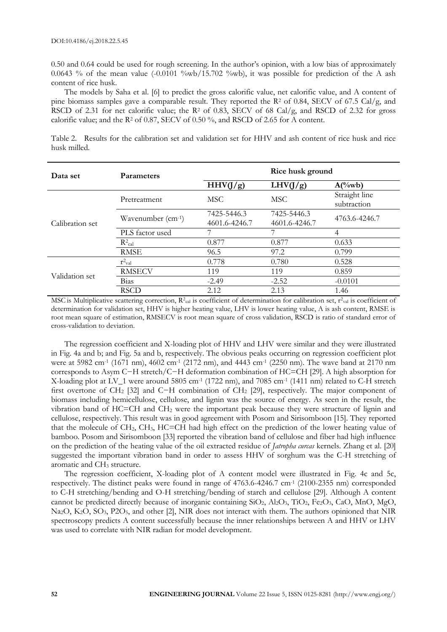0.50 and 0.64 could be used for rough screening. In the author's opinion, with a low bias of approximately 0.0643 % of the mean value  $(-0.0101 \text{ %wb}/15.702 \text{ %wb})$ , it was possible for prediction of the A ash content of rice husk.

The models by Saha et al. [6] to predict the gross calorific value, net calorific value, and A content of pine biomass samples gave a comparable result. They reported the  $\mathbb{R}^2$  of 0.84, SECV of 67.5 Cal/g, and RSCD of 2.31 for net calorific value; the R<sup>2</sup> of 0.83, SECV of 68 Cal/g, and RSCD of 2.32 for gross calorific value; and the  $R^2$  of 0.87, SECV of 0.50 %, and RSCD of 2.65 for A content.

|              |  | Table 2. Results for the calibration set and validation set for HHV and ash content of rice husk and rice |  |  |  |  |  |  |  |
|--------------|--|-----------------------------------------------------------------------------------------------------------|--|--|--|--|--|--|--|
| husk milled. |  |                                                                                                           |  |  |  |  |  |  |  |

| Data set        | <b>Parameters</b>             |                              | Rice husk ground             |                              |  |  |
|-----------------|-------------------------------|------------------------------|------------------------------|------------------------------|--|--|
|                 |                               | HHV(J/g)                     | LHV(J/g)                     | $A(^{0}/_{0}wb)$             |  |  |
|                 | Pretreatment                  | MSC.                         | <b>MSC</b>                   | Straight line<br>subtraction |  |  |
| Calibration set | Wavenumber (cm-1)             | 7425-5446.3<br>4601.6-4246.7 | 7425-5446.3<br>4601.6-4246.7 | 4763.6-4246.7                |  |  |
|                 | PLS factor used               | 7                            | 7                            | 4                            |  |  |
|                 | $R^2$ cal                     | 0.877                        | 0.877                        | 0.633                        |  |  |
|                 | <b>RMSE</b>                   | 96.5                         | 97.2                         | 0.799                        |  |  |
| Validation set  | $\mathbf{r}^2$ <sub>val</sub> | 0.778                        | 0.780                        | 0.528                        |  |  |
|                 | <b>RMSECV</b>                 | 119                          | 119                          | 0.859                        |  |  |
|                 | Bias                          | $-2.49$                      | $-2.52$                      | $-0.0101$                    |  |  |
|                 | <b>RSCD</b>                   | 2.12                         | 2.13                         | 1.46                         |  |  |

MSC is Multiplicative scattering correction,  $R^2_{cal}$  is coefficient of determination for calibration set,  $r^2_{val}$  is coefficient of determination for validation set, HHV is higher heating value, LHV is lower heating value, A is ash content, RMSE is root mean square of estimation, RMSECV is root mean square of cross validation, RSCD is ratio of standard error of cross-validation to deviation.

The regression coefficient and X-loading plot of HHV and LHV were similar and they were illustrated in Fig. 4a and b; and Fig. 5a and b, respectively. The obvious peaks occurring on regression coefficient plot were at 5982 cm<sup>-1</sup> (1671 nm), 4602 cm<sup>-1</sup> (2172 nm), and 4443 cm<sup>-1</sup> (2250 nm). The wave band at 2170 nm corresponds to Asym C−H stretch/C−H deformation combination of HC=CH [29]. A high absorption for X-loading plot at LV\_1 were around 5805 cm-1 (1722 nm), and 7085 cm-1 (1411 nm) related to C-H stretch first overtone of CH<sup>2</sup> [32] and C−H combination of CH<sup>2</sup> [29], respectively. The major component of biomass including hemicellulose, cellulose, and lignin was the source of energy. As seen in the result, the vibration band of HC=CH and CH<sup>2</sup> were the important peak because they were structure of lignin and cellulose, respectively. This result was in good agreement with Posom and Sirisomboon [15]. They reported that the molecule of  $CH_2$ ,  $CH_3$ ,  $HC=CH$  had high effect on the prediction of the lower heating value of bamboo. Posom and Sirisomboon [33] reported the vibration band of cellulose and fiber had high influence on the prediction of the heating value of the oil extracted residue of *Jatropha curcas* kernels. Zhang et al. [20] suggested the important vibration band in order to assess HHV of sorghum was the C-H stretching of aromatic and CH<sub>3</sub> structure.

The regression coefficient, X-loading plot of A content model were illustrated in Fig. 4c and 5c, respectively. The distinct peaks were found in range of 4763.6-4246.7 cm-1 (2100-2355 nm) corresponded to C-H stretching/bending and O-H stretching/bending of starch and cellulose [29]. Although A content cannot be predicted directly because of inorganic containing SiO2, Al2O3, TiO2, Fe2O3, CaO, MnO, MgO, Na<sub>2</sub>O, K<sub>2</sub>O, SO<sub>3</sub>, P2O<sub>5</sub>, and other [2], NIR does not interact with them. The authors opinioned that NIR spectroscopy predicts A content successfully because the inner relationships between A and HHV or LHV was used to correlate with NIR radian for model development.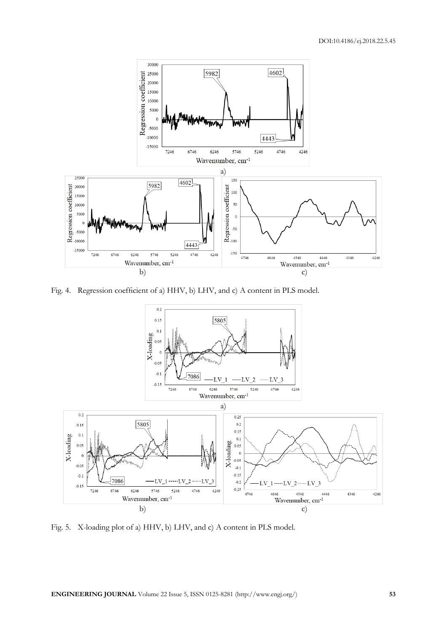

Fig. 4. Regression coefficient of a) HHV, b) LHV, and c) A content in PLS model.



Fig. 5. X-loading plot of a) HHV, b) LHV, and c) A content in PLS model.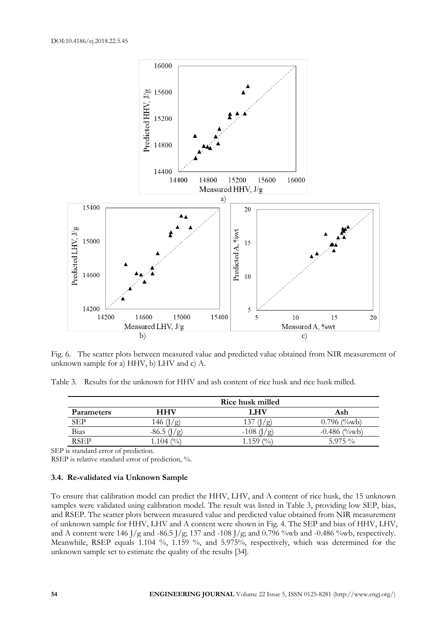

Fig. 6. The scatter plots between measured value and predicted value obtained from NIR measurement of unknown sample for a) HHV, b) LHV and c) A.

Table 3. Results for the unknown for HHV and ash content of rice husk and rice husk milled.

|                   |             | Rice husk milled        |                    |
|-------------------|-------------|-------------------------|--------------------|
| <b>Parameters</b> | <b>HHV</b>  | LHV                     | Ash                |
| SEP               | 46          | 137                     | $0.796$ (%wb)      |
| Bias              |             | $-108$                  | $(\%$ wb<br>-0.486 |
| <b>RSEP</b>       | 1.104 $(\%$ | $\binom{0}{0}$<br>1.159 | $5.975\%$          |

SEP is standard error of prediction.

RSEP is relative standard error of prediction, %.

## **3.4. Re-validated via Unknown Sample**

To ensure that calibration model can predict the HHV, LHV, and A content of rice husk, the 15 unknown samples were validated using calibration model. The result was listed in Table 3, providing low SEP, bias, and RSEP. The scatter plots between measured value and predicted value obtained from NIR measurement of unknown sample for HHV, LHV and A content were shown in Fig. 4. The SEP and bias of HHV, LHV, and A content were 146 J/g and -86.5 J/g; 137 and -108 J/g; and 0.796 %wb and -0.486 %wb, respectively. Meanwhile, RSEP equals 1.104 %, 1.159 %, and 5.975%, respectively, which was determined for the unknown sample set to estimate the quality of the results [34].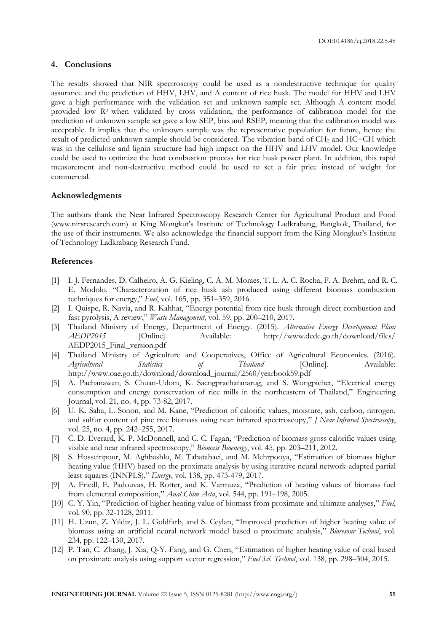## **4. Conclusions**

The results showed that NIR spectroscopy could be used as a nondestructive technique for quality assurance and the prediction of HHV, LHV, and A content of rice husk. The model for HHV and LHV gave a high performance with the validation set and unknown sample set. Although A content model provided low R<sup>2</sup> when validated by cross validation, the performance of calibration model for the prediction of unknown sample set gave a low SEP, bias and RSEP, meaning that the calibration model was acceptable. It implies that the unknown sample was the representative population for future, hence the result of predicted unknown sample should be considered. The vibration band of  $CH<sub>2</sub>$  and  $HC=CH$  which was in the cellulose and lignin structure had high impact on the HHV and LHV model. Our knowledge could be used to optimize the heat combustion process for rice husk power plant. In addition, this rapid measurement and non-destructive method could be used to set a fair price instead of weight for commercial.

#### **Acknowledgments**

The authors thank the Near Infrared Spectroscopy Research Center for Agricultural Product and Food (www.nirsresearch.com) at King Mongkut's Institute of Technology Ladkrabang, Bangkok, Thailand, for the use of their instruments. We also acknowledge the financial support from the King Mongkut's Institute of Technology Ladkrabang Research Fund.

## **References**

- [1] I. J. Fernandes, D. Calheiro, A. G. Kieling, C. A. M. Moraes, T. L. A. C. Rocha, F. A. Brehm, and R. C. E. Modolo. "Characterization of rice husk ash produced using different biomass combustion techniques for energy," *Fuel*, vol. 165, pp. 351–359, 2016.
- [2] I. Quispe, R. Navia, and R. Kahhat, "Energy potential from rice husk through direct combustion and fast pyrolysis, A review," *Waste Management*, vol. 59, pp. 200–210, 2017.
- [3] Thailand Ministry of Energy, Department of Energy. (2015). *Alternative Energy Development Plan: AEDP2015* [Online]. Available: http://www.dede.go.th/download/files/ AEDP2015\_Final\_version.pdf
- [4] Thailand Ministry of Agriculture and Cooperatives, Office of Agricultural Economics. (2016). *Agricultural Statistics of Thailand* [Online]. Available: http://www.oae.go.th/download/download\_journal/2560/yearbook59.pdf
- [5] A. Pachanawan, S. Chuan-Udom, K. Saengprachatanarug, and S. Wongpichet, "Electrical energy consumption and energy conservation of rice mills in the northeastern of Thailand," Engineering Journal, vol. 21, no. 4, pp. 73-82, 2017.
- [6] U. K. Saha, L. Sonon, and M. Kane, "Prediction of calorific values, moisture, ash, carbon, nitrogen, and sulfur content of pine tree biomass using near infrared spectroscopy," *J Near Infrared Spectroscopy*, vol. 25, no. 4, pp. 242–255, 2017.
- [7] C. D. Everard, K. P. McDonnell, and C. C. Fagan, "Prediction of biomass gross calorific values using visible and near infrared spectroscopy," *Biomass Bioenergy*, vol. 45, pp. 203–211, 2012.
- [8] S. Hosseinpour, M. Aghbashlo, M. Tabatabaei, and M. Mehrpooya, "Estimation of biomass higher heating value (HHV) based on the proximate analysis by using iterative neural network-adapted partial least squares (INNPLS)," *Energy*, vol. 138, pp. 473-479, 2017.
- [9] A. Friedl, E. Padouvas, H. Rotter, and K. Varmuza, "Prediction of heating values of biomass fuel from elemental composition," *Anal Chim Acta*, vol. 544, pp. 191–198, 2005.
- [10] C. Y. Yin, "Prediction of higher heating value of biomass from proximate and ultimate analyses," *Fuel*, vol. 90, pp. 32-1128, 2011.
- [11] H. Uzun, Z. Yıldız, J. L. Goldfarb, and S. Ceylan, "Improved prediction of higher heating value of biomass using an artificial neural network model based o proximate analysis," *Bioresour Technol*, vol. 234, pp. 122–130, 2017.
- [12] P. Tan, C. Zhang, J. Xia, Q-Y. Fang, and G. Chen, "Estimation of higher heating value of coal based on proximate analysis using support vector regression," *Fuel Sci. Technol*, vol. 138, pp. 298–304, 2015.